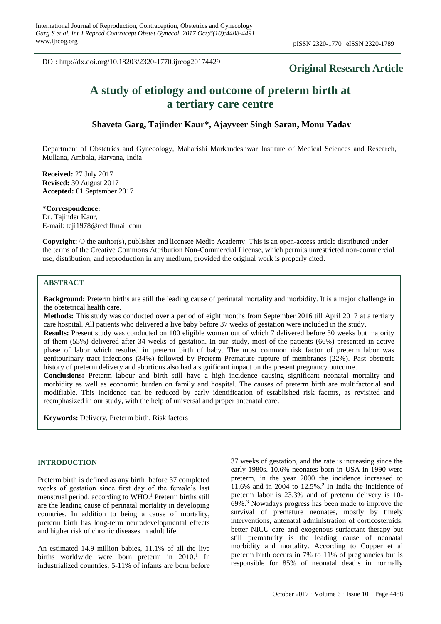DOI: http://dx.doi.org/10.18203/2320-1770.ijrcog20174429

# **Original Research Article**

# **A study of etiology and outcome of preterm birth at a tertiary care centre**

# **Shaveta Garg, Tajinder Kaur\*, Ajayveer Singh Saran, Monu Yadav**

Department of Obstetrics and Gynecology, Maharishi Markandeshwar Institute of Medical Sciences and Research, Mullana, Ambala, Haryana, India

**Received:** 27 July 2017 **Revised:** 30 August 2017 **Accepted:** 01 September 2017

**\*Correspondence:** Dr. Tajinder Kaur, E-mail: teji1978@rediffmail.com

**Copyright:** © the author(s), publisher and licensee Medip Academy. This is an open-access article distributed under the terms of the Creative Commons Attribution Non-Commercial License, which permits unrestricted non-commercial use, distribution, and reproduction in any medium, provided the original work is properly cited.

# **ABSTRACT**

**Background:** Preterm births are still the leading cause of perinatal mortality and morbidity. It is a major challenge in the obstetrical health care.

**Methods:** This study was conducted over a period of eight months from September 2016 till April 2017 at a tertiary care hospital. All patients who delivered a live baby before 37 weeks of gestation were included in the study.

**Results:** Present study was conducted on 100 eligible women out of which 7 delivered before 30 weeks but majority of them (55%) delivered after 34 weeks of gestation. In our study, most of the patients (66%) presented in active phase of labor which resulted in preterm birth of baby. The most common risk factor of preterm labor was genitourinary tract infections (34%) followed by Preterm Premature rupture of membranes (22%). Past obstetric history of preterm delivery and abortions also had a significant impact on the present pregnancy outcome.

**Conclusions:** Preterm labour and birth still have a high incidence causing significant neonatal mortality and morbidity as well as economic burden on family and hospital. The causes of preterm birth are multifactorial and modifiable. This incidence can be reduced by early identification of established risk factors, as revisited and reemphasized in our study, with the help of universal and proper antenatal care.

**Keywords:** Delivery, Preterm birth, Risk factors

# **INTRODUCTION**

Preterm birth is defined as any birth before 37 completed weeks of gestation since first day of the female's last menstrual period, according to WHO. <sup>1</sup> Preterm births still are the leading cause of perinatal mortality in developing countries. In addition to being a cause of mortality, preterm birth has long-term neurodevelopmental effects and higher risk of chronic diseases in adult life.

An estimated 14.9 million babies, 11.1% of all the live births worldwide were born preterm in 2010.<sup>1</sup> In industrialized countries, 5-11% of infants are born before

37 weeks of gestation, and the rate is increasing since the early 1980s. 10.6% neonates born in USA in 1990 were preterm, in the year 2000 the incidence increased to 11.6% and in 2004 to 12.5%. 2 In India the incidence of preterm labor is 23.3% and of preterm delivery is 10- 69%. <sup>3</sup> Nowadays progress has been made to improve the survival of premature neonates, mostly by timely interventions, antenatal administration of corticosteroids, better NICU care and exogenous surfactant therapy but still prematurity is the leading cause of neonatal morbidity and mortality. According to Copper et al preterm birth occurs in 7% to 11% of pregnancies but is responsible for 85% of neonatal deaths in normally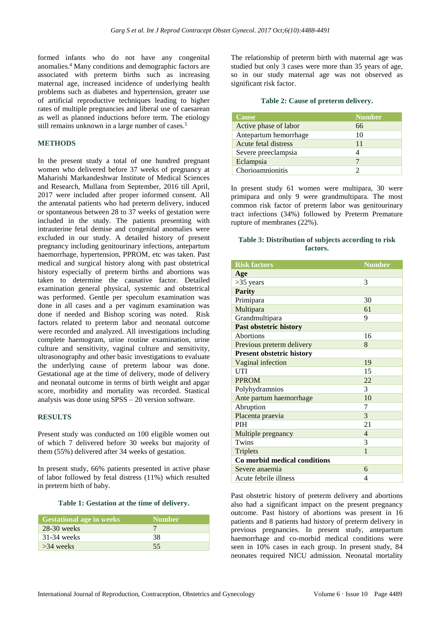formed infants who do not have any congenital anomalies.<sup>4</sup> Many conditions and demographic factors are associated with preterm births such as increasing maternal age, increased incidence of underlying health problems such as diabetes and hypertension, greater use of artificial reproductive techniques leading to higher rates of multiple pregnancies and liberal use of caesarean as well as planned inductions before term. The etiology still remains unknown in a large number of cases.<sup>5</sup>

### **METHODS**

In the present study a total of one hundred pregnant women who delivered before 37 weeks of pregnancy at Maharishi Markandeshwar Institute of Medical Sciences and Research, Mullana from September, 2016 till April, 2017 were included after proper informed consent. All the antenatal patients who had preterm delivery, induced or spontaneous between 28 to 37 weeks of gestation were included in the study. The patients presenting with intrauterine fetal demise and congenital anomalies were excluded in our study. A detailed history of present pregnancy including genitourinary infections, antepartum haemorrhage, hypertension, PPROM, etc was taken. Past medical and surgical history along with past obstetrical history especially of preterm births and abortions was taken to determine the causative factor. Detailed examination general physical, systemic and obstetrical was performed. Gentle per speculum examination was done in all cases and a per vaginum examination was done if needed and Bishop scoring was noted. Risk factors related to preterm labor and neonatal outcome were recorded and analyzed. All investigations including complete haemogram, urine routine examination, urine culture and sensitivity, vaginal culture and sensitivity, ultrasonography and other basic investigations to evaluate the underlying cause of preterm labour was done. Gestational age at the time of delivery, mode of delivery and neonatal outcome in terms of birth weight and apgar score, morbidity and mortality was recorded. Stastical analysis was done using SPSS – 20 version software.

#### **RESULTS**

Present study was conducted on 100 eligible women out of which 7 delivered before 30 weeks but majority of them (55%) delivered after 34 weeks of gestation.

In present study, 66% patients presented in active phase of labor followed by fetal distress (11%) which resulted in preterm birth of baby.

#### **Table 1: Gestation at the time of delivery.**

| <b>Gestational age in weeks</b> | <b>Number</b> |
|---------------------------------|---------------|
| $28-30$ weeks                   |               |
| $31-34$ weeks                   | 38            |
| $>34$ weeks                     | 55            |

The relationship of preterm birth with maternal age was studied but only 3 cases were more than 35 years of age, so in our study maternal age was not observed as significant risk factor.

#### **Table 2: Cause of preterm delivery.**

| Cause                 | <b>Number</b> |
|-----------------------|---------------|
| Active phase of labor | 66            |
| Antepartum hemorrhage | 10            |
| Acute fetal distress  | 11            |
| Severe preeclampsia   |               |
| Eclampsia             |               |
| Chorioamnionitis      |               |

In present study 61 women were multipara, 30 were primipara and only 9 were grandmultipara. The most common risk factor of preterm labor was genitourinary tract infections (34%) followed by Preterm Premature rupture of membranes (22%).

# **Table 3: Distribution of subjects according to risk factors.**

| <b>Risk factors</b>              | <b>Number</b>  |  |
|----------------------------------|----------------|--|
| Age                              |                |  |
| $>35$ years                      | 3              |  |
| <b>Parity</b>                    |                |  |
| Primipara                        | 30             |  |
| Multipara                        | 61             |  |
| Grandmultipara                   | 9              |  |
| Past obstetric history           |                |  |
| <b>Abortions</b>                 | 16             |  |
| Previous preterm delivery        | 8              |  |
| <b>Present obstetric history</b> |                |  |
| Vaginal infection                | 19             |  |
| <b>UTI</b>                       | 15             |  |
| <b>PPROM</b>                     | 22             |  |
| Polyhydramnios                   | 3              |  |
| Ante partum haemorrhage          | 10             |  |
| Abruption                        | 7              |  |
| Placenta praevia                 | 3              |  |
| <b>PIH</b>                       | 21             |  |
| Multiple pregnancy               | $\overline{4}$ |  |
| Twins                            | 3              |  |
| <b>Triplets</b>                  | 1              |  |
| Co morbid medical conditions     |                |  |
| Severe anaemia                   | 6              |  |
| Acute febrile illness            | 4              |  |

Past obstetric history of preterm delivery and abortions also had a significant impact on the present pregnancy outcome. Past history of abortions was present in 16 patients and 8 patients had history of preterm delivery in previous pregnancies. In present study, antepartum haemorrhage and co-morbid medical conditions were seen in 10% cases in each group. In present study, 84 neonates required NICU admission. Neonatal mortality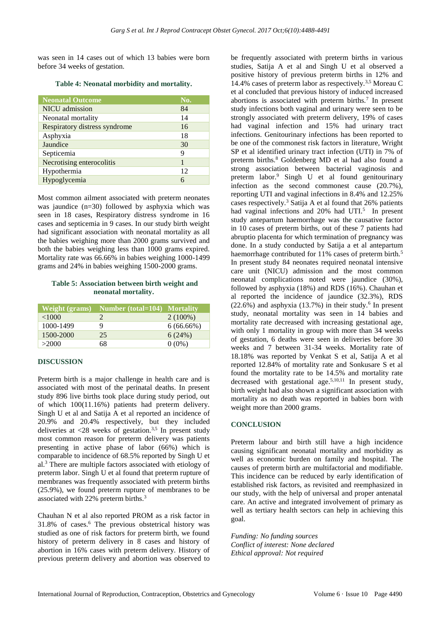was seen in 14 cases out of which 13 babies were born before 34 weeks of gestation.

|  | Table 4: Neonatal morbidity and mortality. |  |
|--|--------------------------------------------|--|
|  |                                            |  |

| <b>Neonatal Outcome</b>       | No. |
|-------------------------------|-----|
| <b>NICU</b> admission         | 84  |
| Neonatal mortality            | 14  |
| Respiratory distress syndrome | 16  |
| Asphyxia                      | 18  |
| Jaundice                      | 30  |
| Septicemia                    | 9   |
| Necrotising enterocolitis     |     |
| Hypothermia                   | 12  |
| Hypoglycemia                  | 6   |

Most common ailment associated with preterm neonates was jaundice (n=30) followed by asphyxia which was seen in 18 cases, Respiratory distress syndrome in 16 cases and septicemia in 9 cases. In our study birth weight had significant association with neonatal mortality as all the babies weighing more than 2000 grams survived and both the babies weighing less than 1000 grams expired. Mortality rate was 66.66% in babies weighing 1000-1499 grams and 24% in babies weighing 1500-2000 grams.

#### **Table 5: Association between birth weight and neonatal mortality.**

|           | Weight (grams) Number (total=104) Mortality |              |
|-----------|---------------------------------------------|--------------|
| <1000     |                                             | $2(100\%)$   |
| 1000-1499 |                                             | $6(66.66\%)$ |
| 1500-2000 | 25                                          | 6(24%)       |
| >2000     | 68                                          | $0(0\%)$     |

# **DISCUSSION**

Preterm birth is a major challenge in health care and is associated with most of the perinatal deaths. In present study 896 live births took place during study period, out of which 100(11.16%) patients had preterm delivery. Singh U et al and Satija A et al reported an incidence of 20.9% and 20.4% respectively, but they included deliveries at  $\langle 28 \rangle$  weeks of gestation.<sup>3,5</sup> In present study most common reason for preterm delivery was patients presenting in active phase of labor (66%) which is comparable to incidence of 68.5% reported by Singh U et al. <sup>3</sup> There are multiple factors associated with etiology of preterm labor. Singh U et al found that preterm rupture of membranes was frequently associated with preterm births (25.9%), we found preterm rupture of membranes to be associated with 22% preterm births.<sup>3</sup>

Chauhan N et al also reported PROM as a risk factor in 31.8% of cases.<sup>6</sup> The previous obstetrical history was studied as one of risk factors for preterm birth, we found history of preterm delivery in 8 cases and history of abortion in 16% cases with preterm delivery. History of previous preterm delivery and abortion was observed to

be frequently associated with preterm births in various studies, Satija A et al and Singh U et al observed a positive history of previous preterm births in 12% and 14.4% cases of preterm labor as respectively.3,5 Moreau C et al concluded that previous history of induced increased abortions is associated with preterm births.<sup>7</sup> In present study infections both vaginal and urinary were seen to be strongly associated with preterm delivery, 19% of cases had vaginal infection and 15% had urinary tract infections. Genitourinary infections has been reported to be one of the commonest risk factors in literature, Wright SP et al identified urinary tract infection (UTI) in 7% of preterm births.<sup>8</sup> Goldenberg MD et al had also found a strong association between bacterial vaginosis and preterm labor.<sup>9</sup> Singh U et al found genitourinary infection as the second commonest cause (20.7%), reporting UTI and vaginal infections in 8.4% and 12.25% cases respectively.<sup>3</sup> Satija A et al found that 26% patients had vaginal infections and 20% had UTI.<sup>5</sup> In present study antepartum haemorrhage was the causative factor in 10 cases of preterm births, out of these 7 patients had abruptio placenta for which termination of pregnancy was done. In a study conducted by Satija a et al antepartum haemorrhage contributed for 11% cases of preterm birth.<sup>5</sup> In present study 84 neonates required neonatal intensive care unit (NICU) admission and the most common neonatal complications noted were jaundice (30%), followed by asphyxia (18%) and RDS (16%). Chauhan et al reported the incidence of jaundice (32.3%), RDS  $(22.6%)$  and asphyxia  $(13.7%)$  in their study.<sup>6</sup> In present study, neonatal mortality was seen in 14 babies and mortality rate decreased with increasing gestational age, with only 1 mortality in group with more than 34 weeks of gestation, 6 deaths were seen in deliveries before 30 weeks and 7 between 31-34 weeks. Mortality rate of 18.18% was reported by Venkat S et al, Satija A et al reported 12.84% of mortality rate and Sonkusare S et al found the mortality rate to be 14.5% and mortality rate decreased with gestational age. 5,10,11 In present study, birth weight had also shown a significant association with mortality as no death was reported in babies born with weight more than 2000 grams.

#### **CONCLUSION**

Preterm labour and birth still have a high incidence causing significant neonatal mortality and morbidity as well as economic burden on family and hospital. The causes of preterm birth are multifactorial and modifiable. This incidence can be reduced by early identification of established risk factors, as revisited and reemphasized in our study, with the help of universal and proper antenatal care. An active and integrated involvement of primary as well as tertiary health sectors can help in achieving this goal.

*Funding: No funding sources Conflict of interest: None declared Ethical approval: Not required*